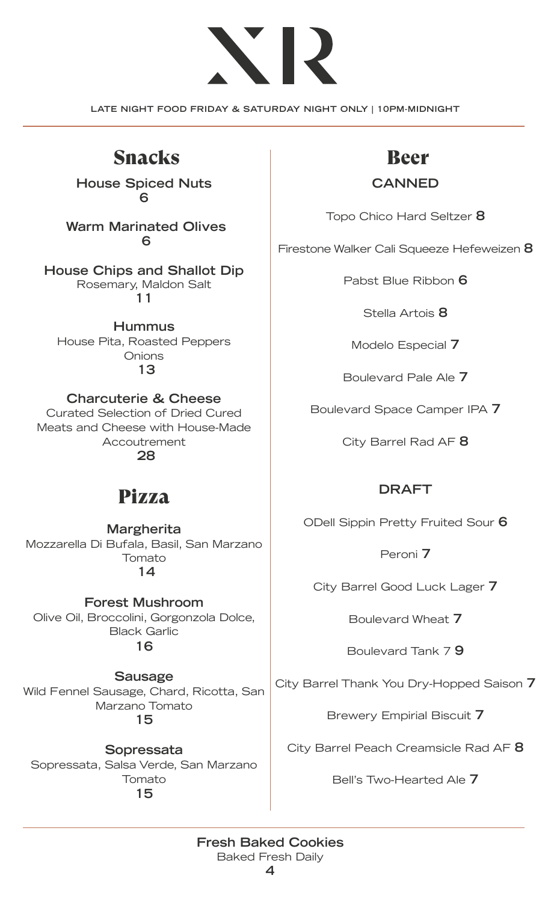# ヽ

**LATE NIGHT FOOD FRIDAY & SATURDAY NIGHT ONLY | 10PM-MIDNIGHT**

## Snacks and Beer

**House Spiced Nuts 6**

**Warm Marinated Olives 6**

**House Chips and Shallot Dip** Rosemary, Maldon Salt **11**

**Hummus** House Pita, Roasted Peppers **Onions 13**

**Charcuterie & Cheese** Curated Selection of Dried Cured Meats and Cheese with House-Made Accoutrement

 **28**

### Pizza

**Margherita** Mozzarella Di Bufala, Basil, San Marzano Tomato  **14**

**Forest Mushroom** Olive Oil, Broccolini, Gorgonzola Dolce, Black Garlic **16**

**Sausage** Wild Fennel Sausage, Chard, Ricotta, San Marzano Tomato **15**

**Sopressata** Sopressata, Salsa Verde, San Marzano Tomato **15**

#### **CANNED**

Topo Chico Hard Seltzer **8**

Firestone Walker Cali Squeeze Hefeweizen **8**

Pabst Blue Ribbon **6**

Stella Artois **8**

Modelo Especial **7**

Boulevard Pale Ale **7**

Boulevard Space Camper IPA **7**

City Barrel Rad AF **8**

#### **DRAFT**

ODell Sippin Pretty Fruited Sour **6**

Peroni **7**

City Barrel Good Luck Lager **7**

Boulevard Wheat **7**

Boulevard Tank 7 **9**

City Barrel Thank You Dry-Hopped Saison **7**

Brewery Empirial Biscuit **7**

City Barrel Peach Creamsicle Rad AF **8**

Bell's Two-Hearted Ale **7**

#### **Fresh Baked Cookies** Baked Fresh Daily